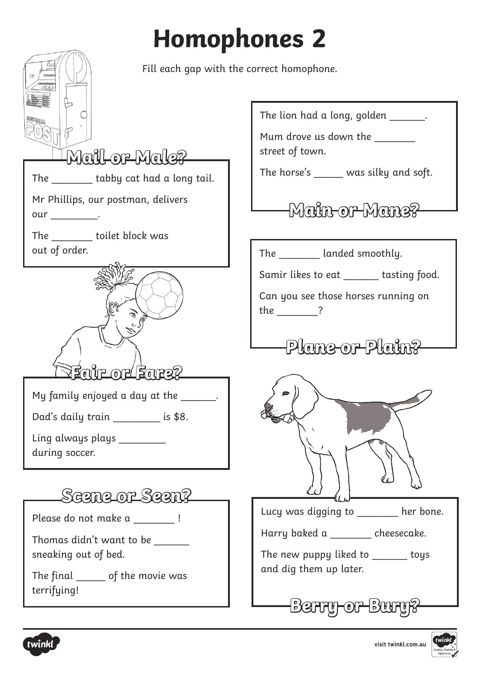## **Homophones 2**